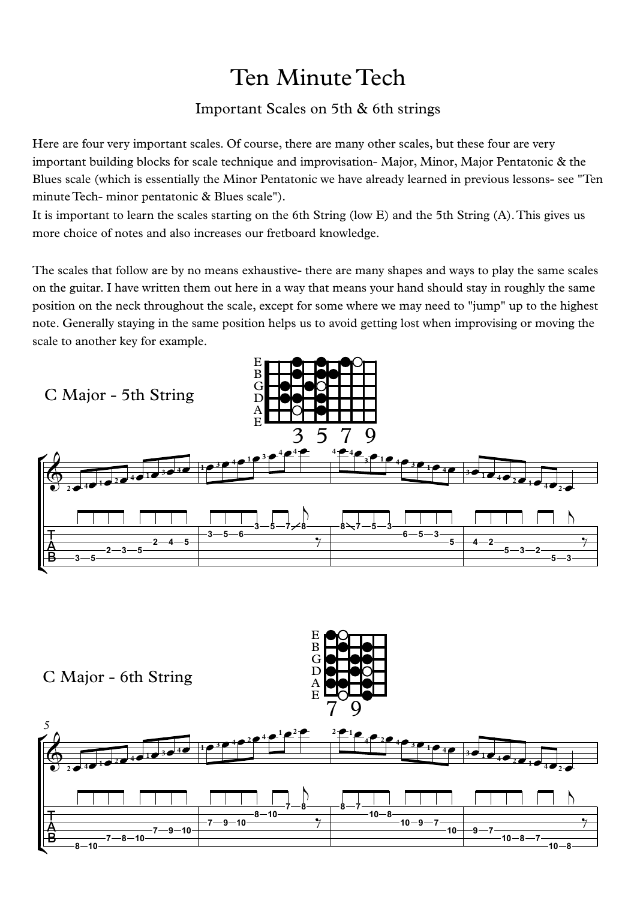## Ten Minute Tech

## Important Scales on 5th & 6th strings

Here are four very important scales. Of course, there are many other scales, but these four are very important building blocks for scale technique and improvisation- Major, Minor, Major Pentatonic & the Blues scale (which is essentially the Minor Pentatonic we have already learned in previous lessons- see "Ten minute Tech- minor pentatonic & Blues scale").

It is important to learn the scales starting on the 6th String (low E) and the 5th String (A).This gives us more choice of notes and also increases our fretboard knowledge.

The scales that follow are by no means exhaustive- there are many shapes and ways to play the same scales on the guitar. I have written them out here in a way that means your hand should stay in roughly the same position on the neck throughout the scale, except for some where we may need to "jump" up to the highest note. Generally staying in the same position helps us to avoid getting lost when improvising or moving the scale to another key for example.

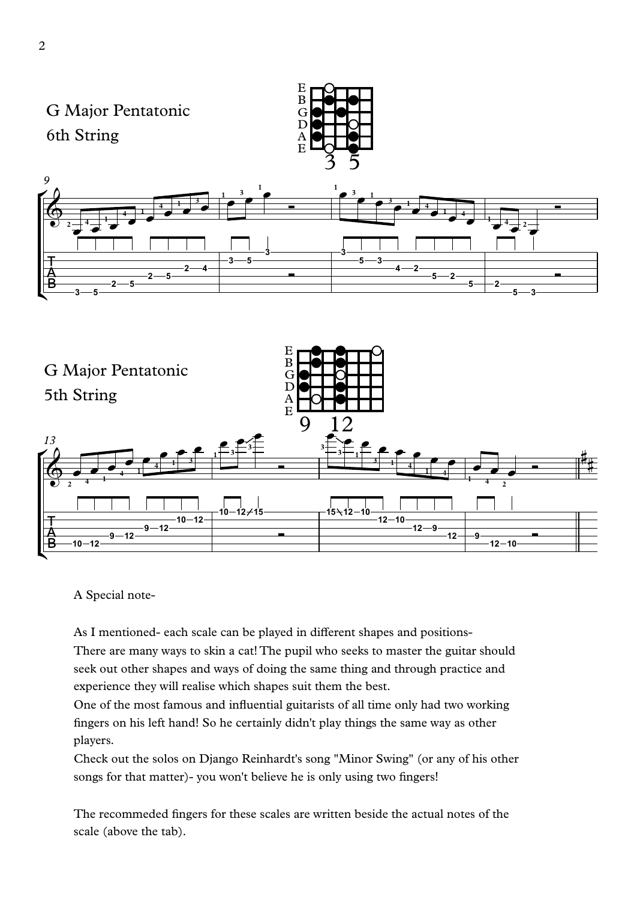

A Special note-

As I mentioned- each scale can be played in different shapes and positions- There are many ways to skin a cat! The pupil who seeks to master the guitar should

seek out other shapes and ways of doing the same thing and through practice and experience they will realise which shapes suit them the best.

One of the most famous and influential guitarists of all time only had two working fingers on his left hand! So he certainly didn't play things the same way as other players.

Check out the solos on Django Reinhardt's song "Minor Swing" (or any of his other songs for that matter)- you won't believe he is only using two fingers!

The recommeded fingers for these scales are written beside the actual notes of the scale (above the tab).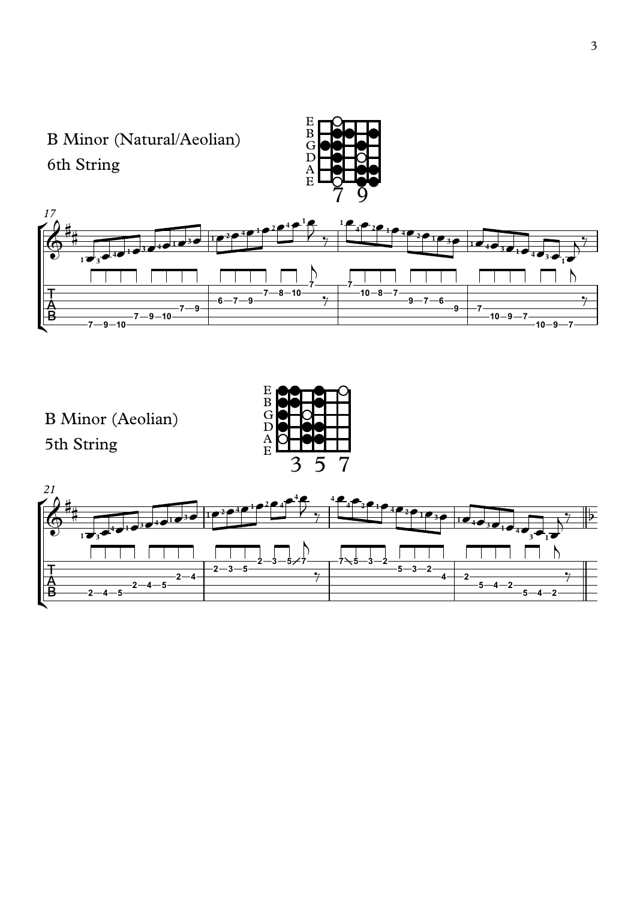



 $\overline{B}$   $-2$   $-4$   $-5$   $-2$ 

 $\mathbf{E}$  igith

 $\overline{\mathbf{b}}$ 

 $\frac{1}{2}$ 

 $\frac{1}{\gamma}$ 

 $\overline{5 - 4 - 2}$